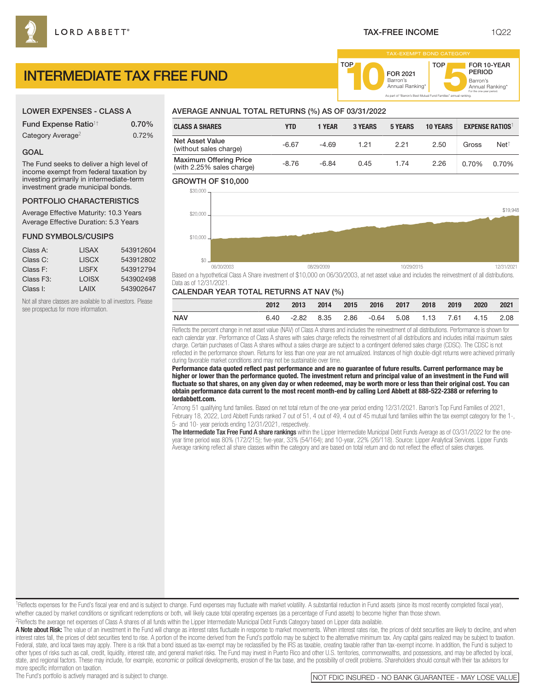## LOWER EXPENSES - CLASS A

| <b>Fund Expense Ratio<sup>1†</sup></b> | 0.70% |
|----------------------------------------|-------|
| Category Average <sup>2</sup>          | 0.72% |

## GOAL

The Fund seeks to deliver a high level of income exempt from federal taxation by investing primarily in intermediate-term investment grade municipal bonds.

## PORTFOLIO CHARACTERISTICS

Average Effective Maturity: 10.3 Years Average Effective Duration: 5.3 Years

#### FUND SYMBOLS/CUSIPS

| Class A:               | LISAX        | 543912604 |
|------------------------|--------------|-----------|
| Class C:               | <b>LISCX</b> | 543912802 |
| Class F:               | <b>LISEX</b> | 543912794 |
| Class F <sub>3</sub> : | LOISX        | 543902498 |
| Class I:               | I AIIX       | 543902647 |

Not all share classes are available to all investors. Please see prospectus for more information.

# AVERAGE ANNUAL TOTAL RETURNS (%) AS OF 03/31/2022

| <b>CLASS A SHARES</b>                                      | YTD     | 1 Year  | <b>3 YEARS</b> | <b>5 YEARS</b> | <b>10 YEARS</b> |       | <b>EXPENSE RATIOS</b> |
|------------------------------------------------------------|---------|---------|----------------|----------------|-----------------|-------|-----------------------|
| <b>Net Asset Value</b><br>(without sales charge)           | $-6.67$ | $-4.69$ | 1.21           | 2.21           | 2.50            | Gross | Net <sup>1</sup>      |
| <b>Maximum Offering Price</b><br>(with 2.25% sales charge) | $-8.76$ | $-6.84$ | 0.45           | 1.74           | 2.26            | 0.70% | 0.70%                 |

TOP

### GROWTH OF \$10,000



Based on a hypothetical Class A Share investment of \$10,000 on 06/30/2003, at net asset value and includes the reinvestment of all distributions. Data as of 12/31/2021.

## CALENDAR YEAR TOTAL RETURNS AT NAV (%)

|     | 2012 | $\sim$ 2013 |  | 2014 2015 2016 2017 2018                               |  | 2019 | 2020 | 2021 |
|-----|------|-------------|--|--------------------------------------------------------|--|------|------|------|
| NAV | 6.40 |             |  | -2.82  8.35  2.86  -0.64  5.08  1.13  7.61  4.15  2.08 |  |      |      |      |

Reflects the percent change in net asset value (NAV) of Class A shares and includes the reinvestment of all distributions. Performance is shown for each calendar year. Performance of Class A shares with sales charge reflects the reinvestment of all distributions and includes initial maximum sales charge. Certain purchases of Class A shares without a sales charge are subject to a contingent deferred sales charge (CDSC). The CDSC is not reflected in the performance shown. Returns for less than one year are not annualized. Instances of high double-digit returns were achieved primarily during favorable market conditions and may not be sustainable over time.

**Performance data quoted reflect past performance and are no guarantee of future results. Current performance may be higher or lower than the performance quoted. The investment return and principal value of an investment in the Fund will fluctuate so that shares, on any given day or when redeemed, may be worth more or less than their original cost. You can obtain performance data current to the most recent month-end by calling Lord Abbett at 888-522-2388 or referring to lordabbett.com.**

\* Among 51 qualifying fund families. Based on net total return of the one-year period ending 12/31/2021. Barron's Top Fund Families of 2021, February 18, 2022, Lord Abbett Funds ranked 7 out of 51, 4 out of 49, 4 out of 45 mutual fund families within the tax exempt category for the 1-, 5- and 10- year periods ending 12/31/2021, respectively.

The Intermediate Tax Free Fund A share rankings within the Lipper Intermediate Municipal Debt Funds Average as of 03/31/2022 for the oneyear time period was 80% (172/215); five-year, 33% (54/164); and 10-year, 22% (26/118). Source: Lipper Analytical Services. Lipper Funds Average ranking reflect all share classes within the category and are based on total return and do not reflect the effect of sales charges.

1Reflects expenses for the Fund's fiscal year end and is subject to change. Fund expenses may fluctuate with market volatility. A substantial reduction in Fund assets (since its most recently completed fiscal year), whether caused by market conditions or significant redemptions or both, will likely cause total operating expenses (as a percentage of Fund assets) to become higher than those shown.

2Reflects the average net expenses of Class A shares of all funds within the Lipper Intermediate Municipal Debt Funds Category based on Lipper data available.

A Note about Risk: The value of an investment in the Fund will change as interest rates fluctuate in response to market movements. When interest rates rise, the prices of debt securities are likely to decline, and when interest rates fall, the prices of debt securities tend to rise. A portion of the income derived from the Fund's portfolio may be subject to the alternative minimum tax. Any capital gains realized may be subject to taxation. Federal, state, and local taxes may apply. There is a risk that a bond issued as tax-exempt may be reclassified by the IRS as taxable, creating taxable rather than tax-exempt income. In addition, the Fund is subject to other types of risks such as call, credit, liquidity, interest rate, and general market risks. The Fund may invest in Puerto Rico and other U.S. territories, commonwealths, and possessions, and may be affected by local, state, and regional factors. These may include, for example, economic or political developments, erosion of the tax base, and the possibility of credit problems. Shareholders should consult with their tax advisors for more specific information on taxation.

Barron's<br>Annual Ranking\*

For the one-year period.

FOR 10-YEAR PERIOD

Barron's **10**Annual Ranking\*

FOR 2021<br>Barron's

As part of "Barron's Best Mutual Fund Families" annual ranking.

TOP